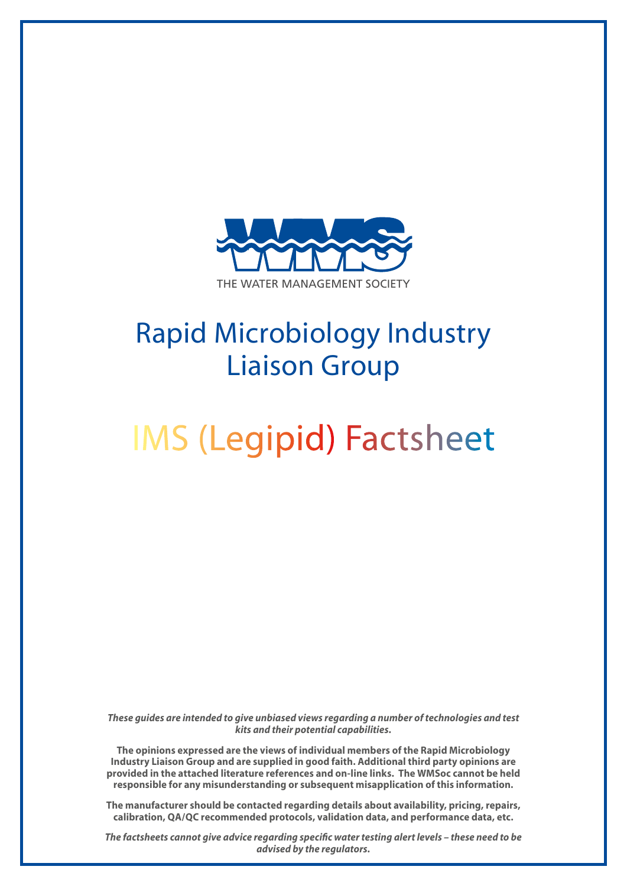

## Rapid Microbiology Industry Liaison Group

# IMS (Legipid) Factsheet

*These guides are intended to give unbiased views regarding a number of technologies and test kits and their potential capabilities.*

**The opinions expressed are the views of individual members of the Rapid Microbiology Industry Liaison Group and are supplied in good faith. Additional third party opinions are provided in the attached literature references and on-line links. The WMSoc cannot be held responsible for any misunderstanding or subsequent misapplication of this information.**

**The manufacturer should be contacted regarding details about availability, pricing, repairs, calibration, QA/QC recommended protocols, validation data, and performance data, etc.**

*The factsheets cannot give advice regarding specific water testing alert levels – these need to be advised by the regulators.*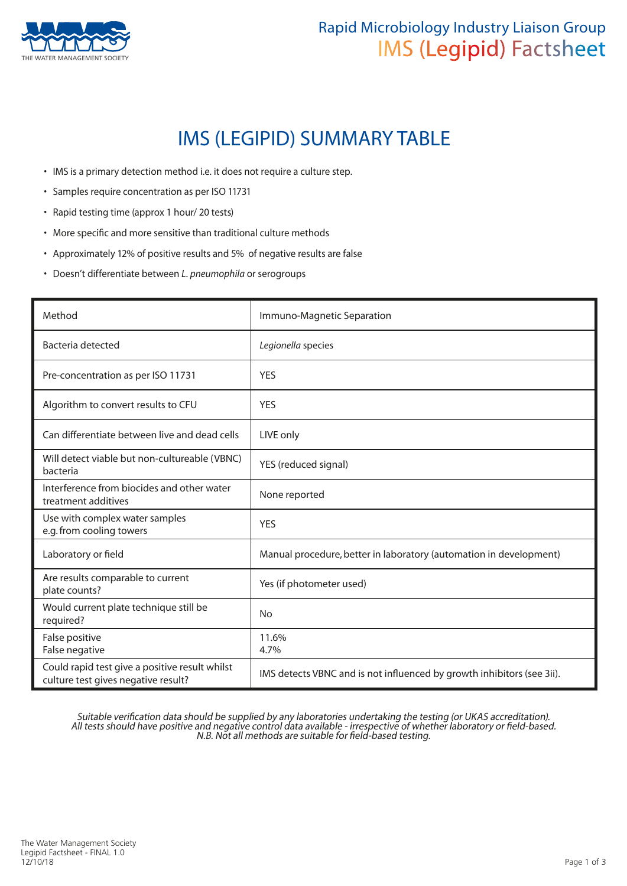

### Rapid Microbiology Industry Liaison Group IMS (Legipid) Factsheet

## IMS (LEGIPID) SUMMARY TABLE

- IMS is a primary detection method i.e. it does not require a culture step.
- Samples require concentration as per ISO 11731
- Rapid testing time (approx 1 hour/ 20 tests)
- More specific and more sensitive than traditional culture methods
- Approximately 12% of positive results and 5% of negative results are false
- Doesn't differentiate between *L. pneumophila* or serogroups

| Method                                                                                | Immuno-Magnetic Separation                                             |
|---------------------------------------------------------------------------------------|------------------------------------------------------------------------|
| Bacteria detected                                                                     | Legionella species                                                     |
| Pre-concentration as per ISO 11731                                                    | <b>YES</b>                                                             |
| Algorithm to convert results to CFU                                                   | <b>YES</b>                                                             |
| Can differentiate between live and dead cells                                         | LIVE only                                                              |
| Will detect viable but non-cultureable (VBNC)<br>bacteria                             | YES (reduced signal)                                                   |
| Interference from biocides and other water<br>treatment additives                     | None reported                                                          |
| Use with complex water samples<br>e.g. from cooling towers                            | <b>YES</b>                                                             |
| Laboratory or field                                                                   | Manual procedure, better in laboratory (automation in development)     |
| Are results comparable to current<br>plate counts?                                    | Yes (if photometer used)                                               |
| Would current plate technique still be<br>required?                                   | <b>No</b>                                                              |
| False positive<br>False negative                                                      | 11.6%<br>4.7%                                                          |
| Could rapid test give a positive result whilst<br>culture test gives negative result? | IMS detects VBNC and is not influenced by growth inhibitors (see 3ii). |

Suitable verification data should be supplied by any laboratories undertaking the testing (or UKAS accreditation). All tests should have positive and negative control data available - irrespective of whether laboratory or field-based. N.B. Not all methods are suitable for field-based testing.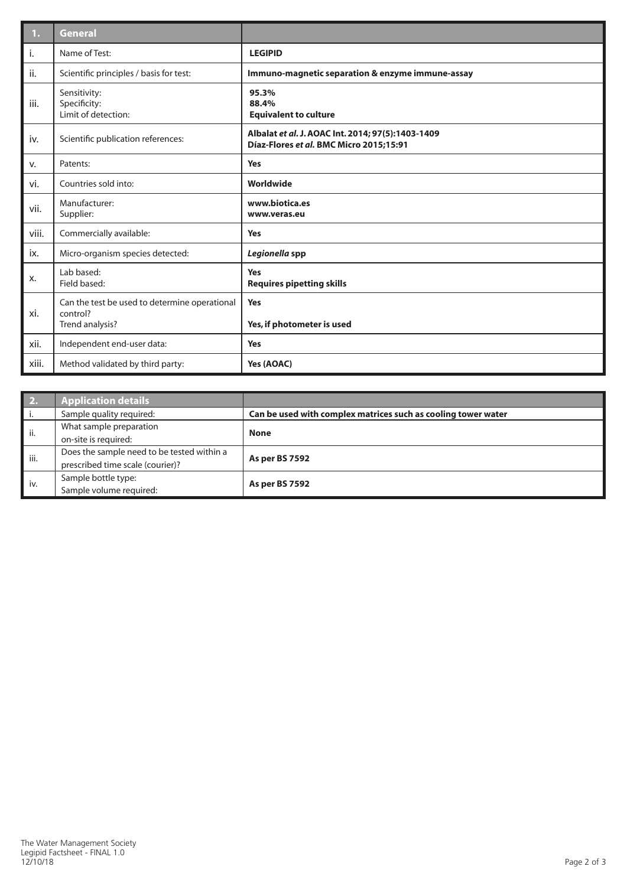| 1.    | <b>General</b>                                                               |                                                                                              |
|-------|------------------------------------------------------------------------------|----------------------------------------------------------------------------------------------|
| i.    | Name of Test:                                                                | <b>LEGIPID</b>                                                                               |
| ii.   | Scientific principles / basis for test:                                      | Immuno-magnetic separation & enzyme immune-assay                                             |
| iii.  | Sensitivity:<br>Specificity:<br>Limit of detection:                          | 95.3%<br>88.4%<br><b>Equivalent to culture</b>                                               |
| iv.   | Scientific publication references:                                           | Albalat et al. J. AOAC Int. 2014; 97(5):1403-1409<br>Díaz-Flores et al. BMC Micro 2015;15:91 |
| v.    | Patents:                                                                     | <b>Yes</b>                                                                                   |
| vi.   | Countries sold into:                                                         | Worldwide                                                                                    |
| vii.  | Manufacturer:<br>Supplier:                                                   | www.biotica.es<br>www.veras.eu                                                               |
| viii. | Commercially available:                                                      | Yes                                                                                          |
| ix.   | Micro-organism species detected:                                             | Legionella spp                                                                               |
| х.    | Lab based:<br>Field based:                                                   | Yes<br><b>Requires pipetting skills</b>                                                      |
| xi.   | Can the test be used to determine operational<br>control?<br>Trend analysis? | Yes<br>Yes, if photometer is used                                                            |
| xii.  | Independent end-user data:                                                   | Yes                                                                                          |
| xiii. | Method validated by third party:                                             | Yes (AOAC)                                                                                   |

| 2.   | <b>Application details</b>                 |                                                               |  |
|------|--------------------------------------------|---------------------------------------------------------------|--|
|      | Sample quality required:                   | Can be used with complex matrices such as cooling tower water |  |
| ii.  | What sample preparation                    | <b>None</b>                                                   |  |
|      | on-site is required:                       |                                                               |  |
| iii. | Does the sample need to be tested within a | <b>As per BS 7592</b>                                         |  |
|      | prescribed time scale (courier)?           |                                                               |  |
| iv.  | Sample bottle type:                        |                                                               |  |
|      | Sample volume required:                    | <b>As per BS 7592</b>                                         |  |